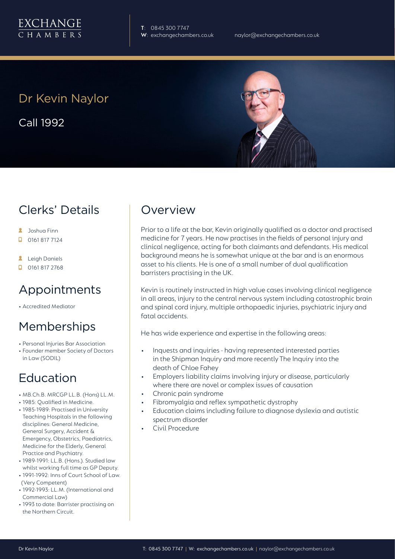**T**: 0845 300 7747

## Dr Kevin Naylor

Call 1992

### Clerks' Details

- **A** Joshua Finn
- $\Box$  0161 817 7124
- **A** Leigh Daniels
- $\Box$  0161 817 2768

### Appointments

• Accredited Mediator

### Memberships

- Personal Injuries Bar Association
- Founder member Society of Doctors in Law (SODIL)

### Education

- MB.Ch.B. MRCGP LL.B. (Hons) LL.M.
- 1985: Qualified in Medicine.
- 1985-1989: Practised in University Teaching Hospitals in the following disciplines: General Medicine, General Surgery, Accident & Emergency, Obstetrics, Paediatrics, Medicine for the Elderly, General Practice and Psychiatry.
- 1989-1991: LL.B. (Hons.). Studied law whilst working full time as GP Deputy.
- 1991-1992: Inns of Court School of Law. (Very Competent)
- 1992-1993: LL.M. (International and Commercial Law)
- 1993 to date: Barrister practising on the Northern Circuit.

### **Overview**

Prior to a life at the bar, Kevin originally qualified as a doctor and practised medicine for 7 years. He now practises in the fields of personal injury and clinical negligence, acting for both claimants and defendants. His medical background means he is somewhat unique at the bar and is an enormous asset to his clients. He is one of a small number of dual qualification barristers practising in the UK.

Kevin is routinely instructed in high value cases involving clinical negligence in all areas, injury to the central nervous system including catastrophic brain and spinal cord injury, multiple orthopaedic injuries, psychiatric injury and fatal accidents.

He has wide experience and expertise in the following areas:

- Inquests and inquiries having represented interested parties in the Shipman Inquiry and more recently The Inquiry into the death of Chloe Fahey
- Employers liability claims involving injury or disease, particularly where there are novel or complex issues of causation
- Chronic pain syndrome
- Fibromyalgia and reflex sympathetic dystrophy
- Education claims including failure to diagnose dyslexia and autistic spectrum disorder
- Civil Procedure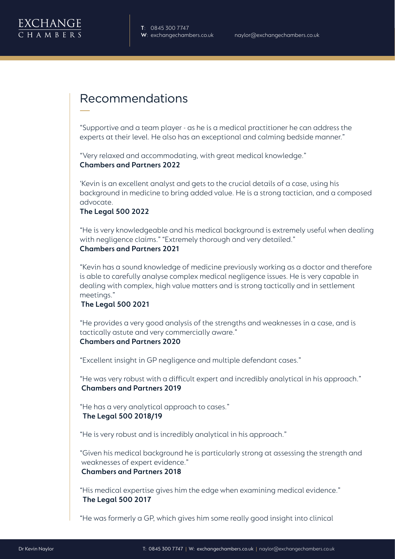### Recommendations

"Supportive and a team player - as he is a medical practitioner he can address the experts at their level. He also has an exceptional and calming bedside manner."

"Very relaxed and accommodating, with great medical knowledge." **Chambers and Partners 2022**

'Kevin is an excellent analyst and gets to the crucial details of a case, using his background in medicine to bring added value. He is a strong tactician, and a composed advocate.

#### **The Legal 500 2022**

"He is very knowledgeable and his medical background is extremely useful when dealing with negligence claims." "Extremely thorough and very detailed."

#### **Chambers and Partners 2021**

"Kevin has a sound knowledge of medicine previously working as a doctor and therefore is able to carefully analyse complex medical negligence issues. He is very capable in dealing with complex, high value matters and is strong tactically and in settlement meetings."

#### **The Legal 500 2021**

"He provides a very good analysis of the strengths and weaknesses in a case, and is tactically astute and very commercially aware."

### **Chambers and Partners 2020**

"Excellent insight in GP negligence and multiple defendant cases."

"He was very robust with a difficult expert and incredibly analytical in his approach."  **Chambers and Partners 2019**

"He has a very analytical approach to cases."  **The Legal 500 2018/19** 

"He is very robust and is incredibly analytical in his approach."

"Given his medical background he is particularly strong at assessing the strength and weaknesses of expert evidence." **Chambers and Partners 2018**

"His medical expertise gives him the edge when examining medical evidence."  **The Legal 500 2017**

"He was formerly a GP, which gives him some really good insight into clinical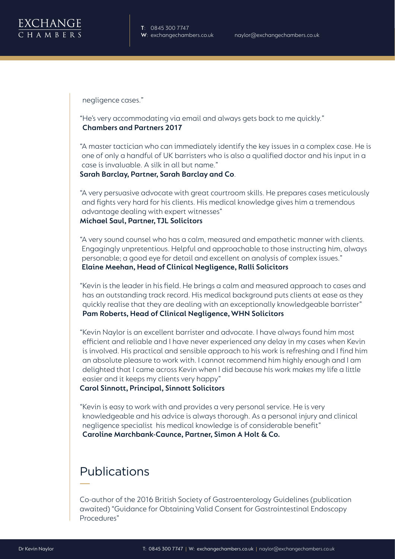

**T**: 0845 300 7747

negligence cases."

"He's very accommodating via email and always gets back to me quickly." **Chambers and Partners 2017**

"A master tactician who can immediately identify the key issues in a complex case. He is one of only a handful of UK barristers who is also a qualified doctor and his input in a case is invaluable. A silk in all but name."

**Sarah Barclay, Partner, Sarah Barclay and Co**.

"A very persuasive advocate with great courtroom skills. He prepares cases meticulously and fights very hard for his clients. His medical knowledge gives him a tremendous advantage dealing with expert witnesses" **Michael Saul, Partner, TJL Solicitors**

"A very sound counsel who has a calm, measured and empathetic manner with clients. Engagingly unpretentious. Helpful and approachable to those instructing him, always personable; a good eye for detail and excellent on analysis of complex issues." **Elaine Meehan, Head of Clinical Negligence, Ralli Solicitors**

"Kevin is the leader in his field. He brings a calm and measured approach to cases and has an outstanding track record. His medical background puts clients at ease as they quickly realise that they are dealing with an exceptionally knowledgeable barrister" **Pam Roberts, Head of Clinical Negligence, WHN Solicitors**

"Kevin Naylor is an excellent barrister and advocate. I have always found him most efficient and reliable and I have never experienced any delay in my cases when Kevin is involved. His practical and sensible approach to his work is refreshing and I find him an absolute pleasure to work with. I cannot recommend him highly enough and I am delighted that I came across Kevin when I did because his work makes my life a little easier and it keeps my clients very happy"

#### **Carol Sinnott, Principal, Sinnott Solicitors**

"Kevin is easy to work with and provides a very personal service. He is very knowledgeable and his advice is always thorough. As a personal injury and clinical negligence specialist his medical knowledge is of considerable benefit" **Caroline Marchbank-Caunce, Partner, Simon A Holt & Co.**

### Publications

Co-author of the 2016 British Society of Gastroenterology Guidelines (publication awaited) "Guidance for Obtaining Valid Consent for Gastrointestinal Endoscopy Procedures"